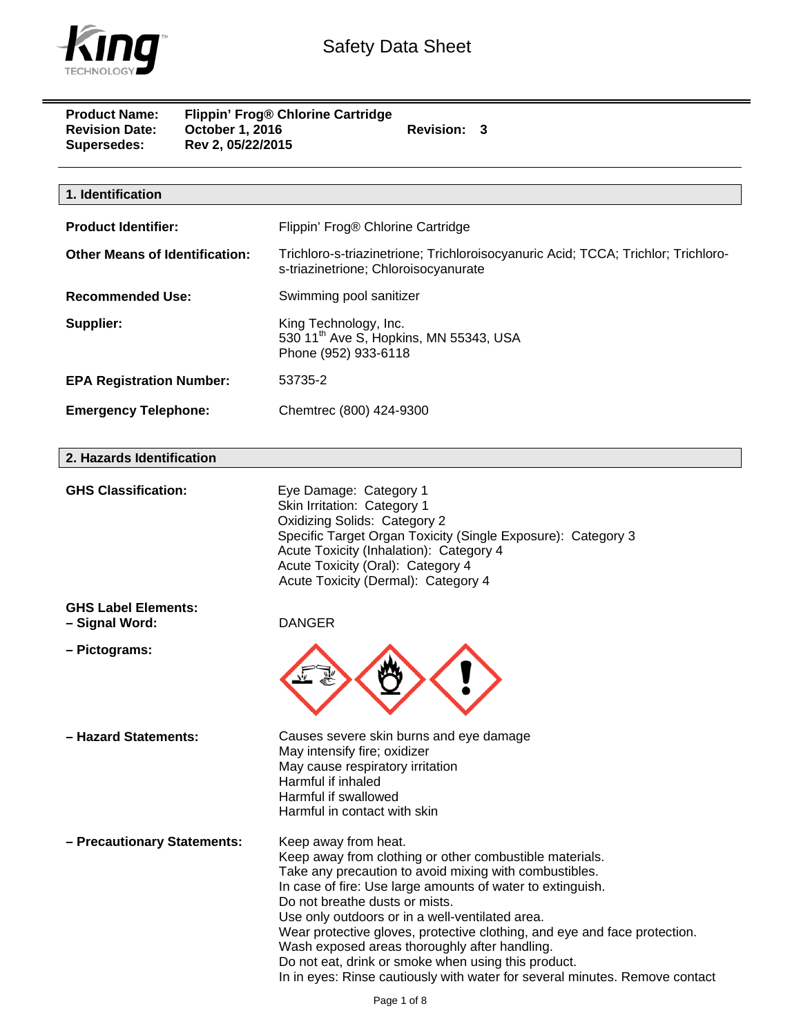

| <b>Product Name:</b><br><b>Revision Date:</b><br>Supersedes: | October 1, 2016<br>Rev 2, 05/22/2015 | Flippin' Frog® Chlorine Cartridge<br>Revision: 3                                                                                                                                                                                                                                                                                                                                                                                                                                                                                                                 |
|--------------------------------------------------------------|--------------------------------------|------------------------------------------------------------------------------------------------------------------------------------------------------------------------------------------------------------------------------------------------------------------------------------------------------------------------------------------------------------------------------------------------------------------------------------------------------------------------------------------------------------------------------------------------------------------|
|                                                              |                                      |                                                                                                                                                                                                                                                                                                                                                                                                                                                                                                                                                                  |
| 1. Identification                                            |                                      |                                                                                                                                                                                                                                                                                                                                                                                                                                                                                                                                                                  |
| <b>Product Identifier:</b>                                   |                                      | Flippin' Frog® Chlorine Cartridge                                                                                                                                                                                                                                                                                                                                                                                                                                                                                                                                |
| <b>Other Means of Identification:</b>                        |                                      | Trichloro-s-triazinetrione; Trichloroisocyanuric Acid; TCCA; Trichlor; Trichloro-<br>s-triazinetrione; Chloroisocyanurate                                                                                                                                                                                                                                                                                                                                                                                                                                        |
| <b>Recommended Use:</b>                                      |                                      | Swimming pool sanitizer                                                                                                                                                                                                                                                                                                                                                                                                                                                                                                                                          |
| Supplier:                                                    |                                      | King Technology, Inc.<br>530 11 <sup>th</sup> Ave S, Hopkins, MN 55343, USA<br>Phone (952) 933-6118                                                                                                                                                                                                                                                                                                                                                                                                                                                              |
| <b>EPA Registration Number:</b>                              |                                      | 53735-2                                                                                                                                                                                                                                                                                                                                                                                                                                                                                                                                                          |
| <b>Emergency Telephone:</b>                                  |                                      | Chemtrec (800) 424-9300                                                                                                                                                                                                                                                                                                                                                                                                                                                                                                                                          |
| 2. Hazards Identification                                    |                                      |                                                                                                                                                                                                                                                                                                                                                                                                                                                                                                                                                                  |
| <b>GHS Classification:</b>                                   |                                      | Eye Damage: Category 1<br>Skin Irritation: Category 1<br>Oxidizing Solids: Category 2<br>Specific Target Organ Toxicity (Single Exposure): Category 3<br>Acute Toxicity (Inhalation): Category 4<br>Acute Toxicity (Oral): Category 4<br>Acute Toxicity (Dermal): Category 4                                                                                                                                                                                                                                                                                     |
| <b>GHS Label Elements:</b><br>- Signal Word:                 |                                      | <b>DANGER</b>                                                                                                                                                                                                                                                                                                                                                                                                                                                                                                                                                    |
| - Pictograms:                                                |                                      |                                                                                                                                                                                                                                                                                                                                                                                                                                                                                                                                                                  |
| - Hazard Statements:                                         |                                      | Causes severe skin burns and eye damage<br>May intensify fire; oxidizer<br>May cause respiratory irritation<br>Harmful if inhaled<br>Harmful if swallowed<br>Harmful in contact with skin                                                                                                                                                                                                                                                                                                                                                                        |
| - Precautionary Statements:                                  |                                      | Keep away from heat.<br>Keep away from clothing or other combustible materials.<br>Take any precaution to avoid mixing with combustibles.<br>In case of fire: Use large amounts of water to extinguish.<br>Do not breathe dusts or mists.<br>Use only outdoors or in a well-ventilated area.<br>Wear protective gloves, protective clothing, and eye and face protection.<br>Wash exposed areas thoroughly after handling.<br>Do not eat, drink or smoke when using this product.<br>In in eyes: Rinse cautiously with water for several minutes. Remove contact |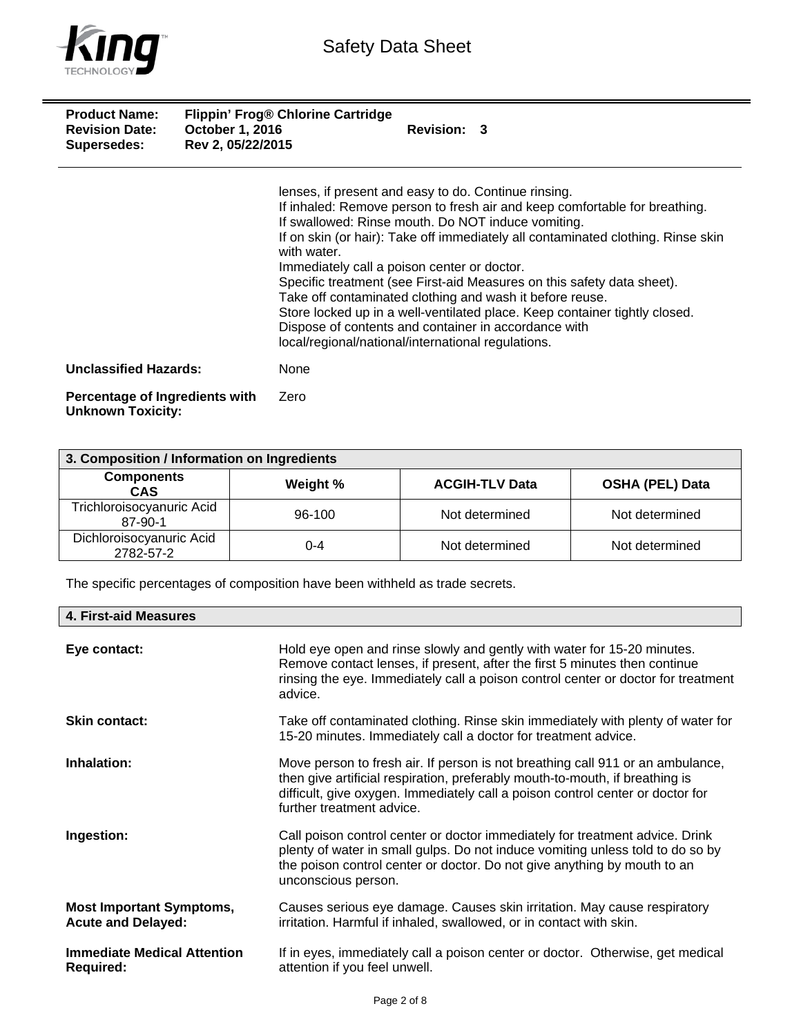

| <b>Product Name:</b><br><b>Revision Date:</b><br><b>Supersedes:</b> | Flippin' Frog® Chlorine Cartridge<br><b>October 1, 2016</b><br>Rev 2, 05/22/2015 | Revision: 3                                                                                                                                                                                                                                                                                                                                                                                                                                                                                                                                                                                                                                                   |
|---------------------------------------------------------------------|----------------------------------------------------------------------------------|---------------------------------------------------------------------------------------------------------------------------------------------------------------------------------------------------------------------------------------------------------------------------------------------------------------------------------------------------------------------------------------------------------------------------------------------------------------------------------------------------------------------------------------------------------------------------------------------------------------------------------------------------------------|
|                                                                     | with water.                                                                      | lenses, if present and easy to do. Continue rinsing.<br>If inhaled: Remove person to fresh air and keep comfortable for breathing.<br>If swallowed: Rinse mouth. Do NOT induce vomiting.<br>If on skin (or hair): Take off immediately all contaminated clothing. Rinse skin<br>Immediately call a poison center or doctor.<br>Specific treatment (see First-aid Measures on this safety data sheet).<br>Take off contaminated clothing and wash it before reuse.<br>Store locked up in a well-ventilated place. Keep container tightly closed.<br>Dispose of contents and container in accordance with<br>local/regional/national/international regulations. |
| <b>Unclassified Hazards:</b>                                        | None                                                                             |                                                                                                                                                                                                                                                                                                                                                                                                                                                                                                                                                                                                                                                               |
| Percentage of Ingredients with                                      | Zero                                                                             |                                                                                                                                                                                                                                                                                                                                                                                                                                                                                                                                                                                                                                                               |

| r vrovniago or migrou    |  |  |
|--------------------------|--|--|
| <b>Unknown Toxicity:</b> |  |  |

| 3. Composition / Information on Ingredients |          |                       |                        |
|---------------------------------------------|----------|-----------------------|------------------------|
| <b>Components</b><br><b>CAS</b>             | Weight % | <b>ACGIH-TLV Data</b> | <b>OSHA (PEL) Data</b> |
| Trichloroisocyanuric Acid<br>87-90-1        | 96-100   | Not determined        | Not determined         |
| Dichloroisocyanuric Acid<br>2782-57-2       | $0 - 4$  | Not determined        | Not determined         |

The specific percentages of composition have been withheld as trade secrets.

| 4. First-aid Measures                                        |                                                                                                                                                                                                                                                                               |
|--------------------------------------------------------------|-------------------------------------------------------------------------------------------------------------------------------------------------------------------------------------------------------------------------------------------------------------------------------|
| Eye contact:                                                 | Hold eye open and rinse slowly and gently with water for 15-20 minutes.<br>Remove contact lenses, if present, after the first 5 minutes then continue<br>rinsing the eye. Immediately call a poison control center or doctor for treatment<br>advice.                         |
| <b>Skin contact:</b>                                         | Take off contaminated clothing. Rinse skin immediately with plenty of water for<br>15-20 minutes. Immediately call a doctor for treatment advice.                                                                                                                             |
| Inhalation:                                                  | Move person to fresh air. If person is not breathing call 911 or an ambulance,<br>then give artificial respiration, preferably mouth-to-mouth, if breathing is<br>difficult, give oxygen. Immediately call a poison control center or doctor for<br>further treatment advice. |
| Ingestion:                                                   | Call poison control center or doctor immediately for treatment advice. Drink<br>plenty of water in small gulps. Do not induce vomiting unless told to do so by<br>the poison control center or doctor. Do not give anything by mouth to an<br>unconscious person.             |
| <b>Most Important Symptoms,</b><br><b>Acute and Delayed:</b> | Causes serious eye damage. Causes skin irritation. May cause respiratory<br>irritation. Harmful if inhaled, swallowed, or in contact with skin.                                                                                                                               |
| <b>Immediate Medical Attention</b><br><b>Required:</b>       | If in eyes, immediately call a poison center or doctor. Otherwise, get medical<br>attention if you feel unwell.                                                                                                                                                               |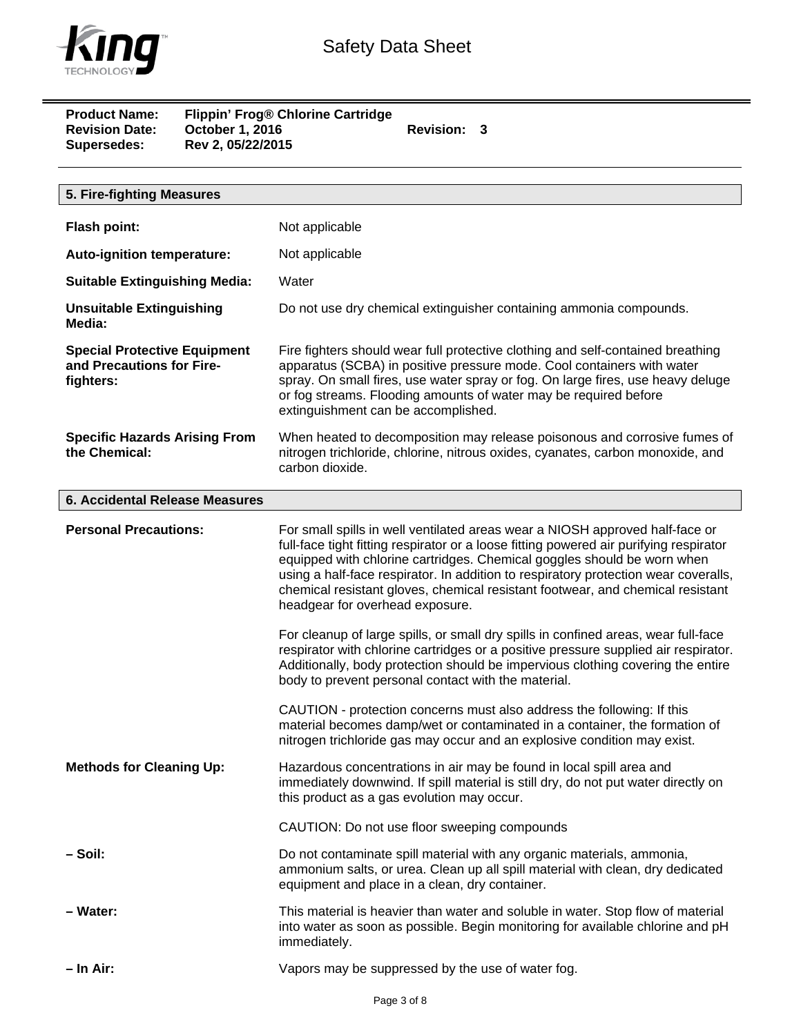

**Product Name: Flippin' Frog® Chlorine Cartridge**  Revision Date: Cortober 1, 2016 **Revision: 3 Supersedes: Rev 2, 05/22/2015** 

| 5. Fire-fighting Measures                                                     |                                                                                                                                                                                                                                                                                                                                                                                                                                                                                                                                                                                                                                                                                                                                                                                      |
|-------------------------------------------------------------------------------|--------------------------------------------------------------------------------------------------------------------------------------------------------------------------------------------------------------------------------------------------------------------------------------------------------------------------------------------------------------------------------------------------------------------------------------------------------------------------------------------------------------------------------------------------------------------------------------------------------------------------------------------------------------------------------------------------------------------------------------------------------------------------------------|
| Flash point:                                                                  | Not applicable                                                                                                                                                                                                                                                                                                                                                                                                                                                                                                                                                                                                                                                                                                                                                                       |
| <b>Auto-ignition temperature:</b>                                             | Not applicable                                                                                                                                                                                                                                                                                                                                                                                                                                                                                                                                                                                                                                                                                                                                                                       |
| <b>Suitable Extinguishing Media:</b>                                          | Water                                                                                                                                                                                                                                                                                                                                                                                                                                                                                                                                                                                                                                                                                                                                                                                |
|                                                                               |                                                                                                                                                                                                                                                                                                                                                                                                                                                                                                                                                                                                                                                                                                                                                                                      |
| <b>Unsuitable Extinguishing</b><br>Media:                                     | Do not use dry chemical extinguisher containing ammonia compounds.                                                                                                                                                                                                                                                                                                                                                                                                                                                                                                                                                                                                                                                                                                                   |
| <b>Special Protective Equipment</b><br>and Precautions for Fire-<br>fighters: | Fire fighters should wear full protective clothing and self-contained breathing<br>apparatus (SCBA) in positive pressure mode. Cool containers with water<br>spray. On small fires, use water spray or fog. On large fires, use heavy deluge<br>or fog streams. Flooding amounts of water may be required before<br>extinguishment can be accomplished.                                                                                                                                                                                                                                                                                                                                                                                                                              |
| <b>Specific Hazards Arising From</b><br>the Chemical:                         | When heated to decomposition may release poisonous and corrosive fumes of<br>nitrogen trichloride, chlorine, nitrous oxides, cyanates, carbon monoxide, and<br>carbon dioxide.                                                                                                                                                                                                                                                                                                                                                                                                                                                                                                                                                                                                       |
| 6. Accidental Release Measures                                                |                                                                                                                                                                                                                                                                                                                                                                                                                                                                                                                                                                                                                                                                                                                                                                                      |
| <b>Personal Precautions:</b>                                                  | For small spills in well ventilated areas wear a NIOSH approved half-face or<br>full-face tight fitting respirator or a loose fitting powered air purifying respirator<br>equipped with chlorine cartridges. Chemical goggles should be worn when<br>using a half-face respirator. In addition to respiratory protection wear coveralls,<br>chemical resistant gloves, chemical resistant footwear, and chemical resistant<br>headgear for overhead exposure.<br>For cleanup of large spills, or small dry spills in confined areas, wear full-face<br>respirator with chlorine cartridges or a positive pressure supplied air respirator.<br>Additionally, body protection should be impervious clothing covering the entire<br>body to prevent personal contact with the material. |
|                                                                               | CAUTION - protection concerns must also address the following: If this<br>material becomes damp/wet or contaminated in a container, the formation of<br>nitrogen trichloride gas may occur and an explosive condition may exist.                                                                                                                                                                                                                                                                                                                                                                                                                                                                                                                                                     |
| <b>Methods for Cleaning Up:</b>                                               | Hazardous concentrations in air may be found in local spill area and<br>immediately downwind. If spill material is still dry, do not put water directly on<br>this product as a gas evolution may occur.                                                                                                                                                                                                                                                                                                                                                                                                                                                                                                                                                                             |
|                                                                               | CAUTION: Do not use floor sweeping compounds                                                                                                                                                                                                                                                                                                                                                                                                                                                                                                                                                                                                                                                                                                                                         |
| – Soil:                                                                       | Do not contaminate spill material with any organic materials, ammonia,<br>ammonium salts, or urea. Clean up all spill material with clean, dry dedicated<br>equipment and place in a clean, dry container.                                                                                                                                                                                                                                                                                                                                                                                                                                                                                                                                                                           |
| - Water:                                                                      | This material is heavier than water and soluble in water. Stop flow of material<br>into water as soon as possible. Begin monitoring for available chlorine and pH<br>immediately.                                                                                                                                                                                                                                                                                                                                                                                                                                                                                                                                                                                                    |
| – In Air:                                                                     | Vapors may be suppressed by the use of water fog.                                                                                                                                                                                                                                                                                                                                                                                                                                                                                                                                                                                                                                                                                                                                    |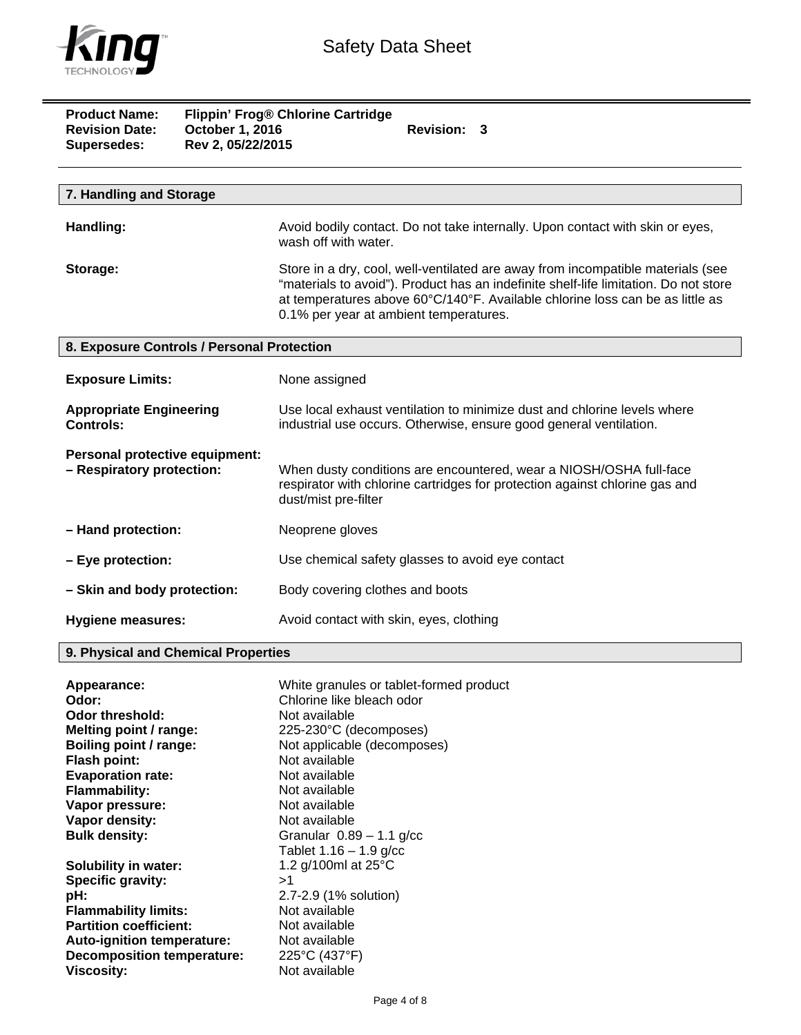

| <b>Product Name:</b><br><b>Revision Date:</b><br><b>Supersedes:</b> | October 1, 2016<br>Rev 2, 05/22/2015 | Flippin' Frog® Chlorine Cartridge<br>Revision: 3                                                                                                                                                                                                                                                   |
|---------------------------------------------------------------------|--------------------------------------|----------------------------------------------------------------------------------------------------------------------------------------------------------------------------------------------------------------------------------------------------------------------------------------------------|
|                                                                     |                                      |                                                                                                                                                                                                                                                                                                    |
| 7. Handling and Storage                                             |                                      |                                                                                                                                                                                                                                                                                                    |
| Handling:                                                           |                                      | Avoid bodily contact. Do not take internally. Upon contact with skin or eyes,<br>wash off with water.                                                                                                                                                                                              |
| Storage:                                                            |                                      | Store in a dry, cool, well-ventilated are away from incompatible materials (see<br>"materials to avoid"). Product has an indefinite shelf-life limitation. Do not store<br>at temperatures above 60°C/140°F. Available chlorine loss can be as little as<br>0.1% per year at ambient temperatures. |
| 8. Exposure Controls / Personal Protection                          |                                      |                                                                                                                                                                                                                                                                                                    |
| <b>Exposure Limits:</b>                                             |                                      | None assigned                                                                                                                                                                                                                                                                                      |
| <b>Appropriate Engineering</b><br><b>Controls:</b>                  |                                      | Use local exhaust ventilation to minimize dust and chlorine levels where<br>industrial use occurs. Otherwise, ensure good general ventilation.                                                                                                                                                     |
| Personal protective equipment:<br>- Respiratory protection:         |                                      | When dusty conditions are encountered, wear a NIOSH/OSHA full-face<br>respirator with chlorine cartridges for protection against chlorine gas and<br>dust/mist pre-filter                                                                                                                          |
| - Hand protection:                                                  |                                      | Neoprene gloves                                                                                                                                                                                                                                                                                    |
| - Eye protection:                                                   |                                      | Use chemical safety glasses to avoid eye contact                                                                                                                                                                                                                                                   |
| - Skin and body protection:                                         |                                      | Body covering clothes and boots                                                                                                                                                                                                                                                                    |
| Hygiene measures:                                                   |                                      | Avoid contact with skin, eyes, clothing                                                                                                                                                                                                                                                            |

## **9. Physical and Chemical Properties**

| Appearance:                       | White granules or tablet-formed product |
|-----------------------------------|-----------------------------------------|
| Odor:                             | Chlorine like bleach odor               |
| Odor threshold:                   | Not available                           |
| Melting point / range:            | 225-230°C (decomposes)                  |
| Boiling point / range:            | Not applicable (decomposes)             |
| <b>Flash point:</b>               | Not available                           |
| <b>Evaporation rate:</b>          | Not available                           |
| <b>Flammability:</b>              | Not available                           |
| Vapor pressure:                   | Not available                           |
| Vapor density:                    | Not available                           |
| <b>Bulk density:</b>              | Granular $0.89 - 1.1$ g/cc              |
|                                   | Tablet $1.16 - 1.9$ g/cc                |
| <b>Solubility in water:</b>       | 1.2 g/100ml at 25°C                     |
| Specific gravity:                 | >1                                      |
| pH:                               | 2.7-2.9 (1% solution)                   |
| <b>Flammability limits:</b>       | Not available                           |
| <b>Partition coefficient:</b>     | Not available                           |
| Auto-ignition temperature:        | Not available                           |
| <b>Decomposition temperature:</b> | 225°C (437°F)                           |
| Viscosity:                        | Not available                           |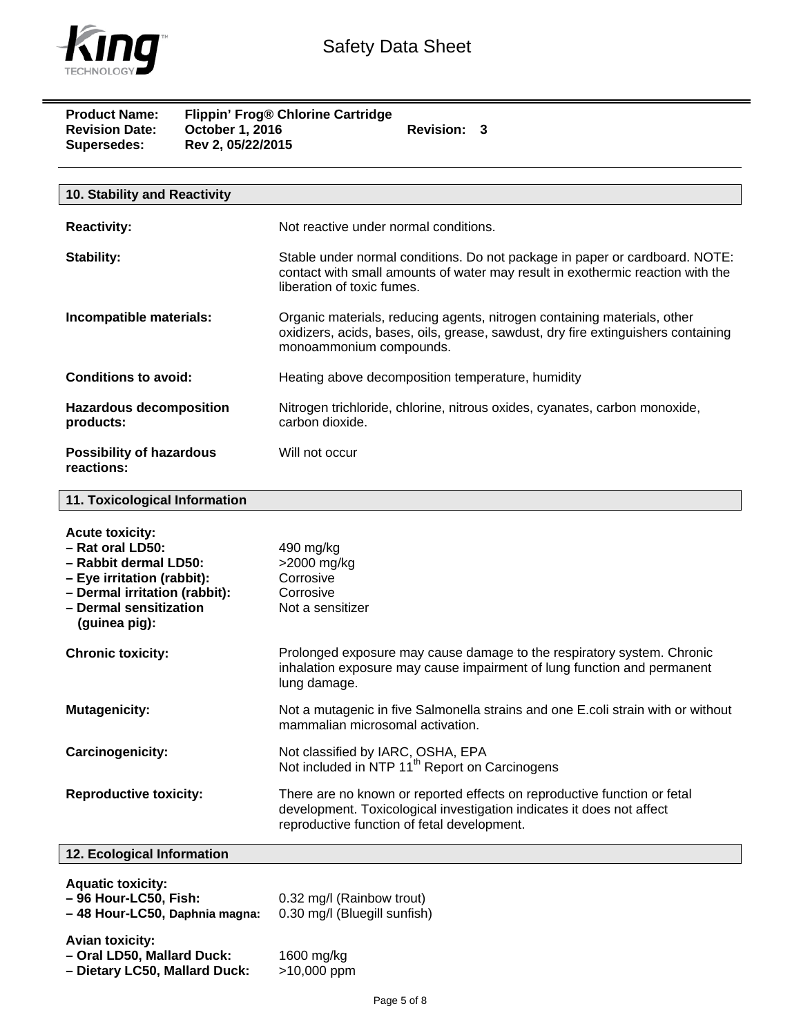

 $\equiv$ 

| <b>Product Name:</b><br><b>Revision Date:</b><br>Supersedes:                                                                                                                  | October 1, 2016<br>Rev 2, 05/22/2015 | Flippin' Frog® Chlorine Cartridge<br>Revision: 3                                                                                                                                                 |  |
|-------------------------------------------------------------------------------------------------------------------------------------------------------------------------------|--------------------------------------|--------------------------------------------------------------------------------------------------------------------------------------------------------------------------------------------------|--|
| 10. Stability and Reactivity                                                                                                                                                  |                                      |                                                                                                                                                                                                  |  |
| <b>Reactivity:</b>                                                                                                                                                            |                                      | Not reactive under normal conditions.                                                                                                                                                            |  |
| <b>Stability:</b>                                                                                                                                                             |                                      | Stable under normal conditions. Do not package in paper or cardboard. NOTE:<br>contact with small amounts of water may result in exothermic reaction with the<br>liberation of toxic fumes.      |  |
| Incompatible materials:                                                                                                                                                       |                                      | Organic materials, reducing agents, nitrogen containing materials, other<br>oxidizers, acids, bases, oils, grease, sawdust, dry fire extinguishers containing<br>monoammonium compounds.         |  |
| <b>Conditions to avoid:</b>                                                                                                                                                   |                                      | Heating above decomposition temperature, humidity                                                                                                                                                |  |
| <b>Hazardous decomposition</b><br>products:                                                                                                                                   |                                      | Nitrogen trichloride, chlorine, nitrous oxides, cyanates, carbon monoxide,<br>carbon dioxide.                                                                                                    |  |
| <b>Possibility of hazardous</b><br>reactions:                                                                                                                                 |                                      | Will not occur                                                                                                                                                                                   |  |
| 11. Toxicological Information                                                                                                                                                 |                                      |                                                                                                                                                                                                  |  |
| <b>Acute toxicity:</b><br>- Rat oral LD50:<br>- Rabbit dermal LD50:<br>- Eye irritation (rabbit):<br>- Dermal irritation (rabbit):<br>- Dermal sensitization<br>(guinea pig): |                                      | 490 mg/kg<br>>2000 mg/kg<br>Corrosive<br>Corrosive<br>Not a sensitizer                                                                                                                           |  |
| <b>Chronic toxicity:</b>                                                                                                                                                      |                                      | Prolonged exposure may cause damage to the respiratory system. Chronic<br>inhalation exposure may cause impairment of lung function and permanent<br>lung damage.                                |  |
| <b>Mutagenicity:</b>                                                                                                                                                          |                                      | Not a mutagenic in five Salmonella strains and one E.coli strain with or without<br>mammalian microsomal activation.                                                                             |  |
| Carcinogenicity:                                                                                                                                                              |                                      | Not classified by IARC, OSHA, EPA<br>Not included in NTP 11 <sup>th</sup> Report on Carcinogens                                                                                                  |  |
| <b>Reproductive toxicity:</b>                                                                                                                                                 |                                      | There are no known or reported effects on reproductive function or fetal<br>development. Toxicological investigation indicates it does not affect<br>reproductive function of fetal development. |  |

## **12. Ecological Information**

**Aquatic toxicity:** 

| 1.9444123313131377<br>- 96 Hour-LC50, Fish:<br>-48 Hour-LC50, Daphnia magna:          | 0.32 mg/l (Rainbow trout)<br>0.30 mg/l (Bluegill sunfish) |
|---------------------------------------------------------------------------------------|-----------------------------------------------------------|
| <b>Avian toxicity:</b><br>- Oral LD50, Mallard Duck:<br>- Dietary LC50, Mallard Duck: | 1600 mg/kg<br>>10,000 ppm                                 |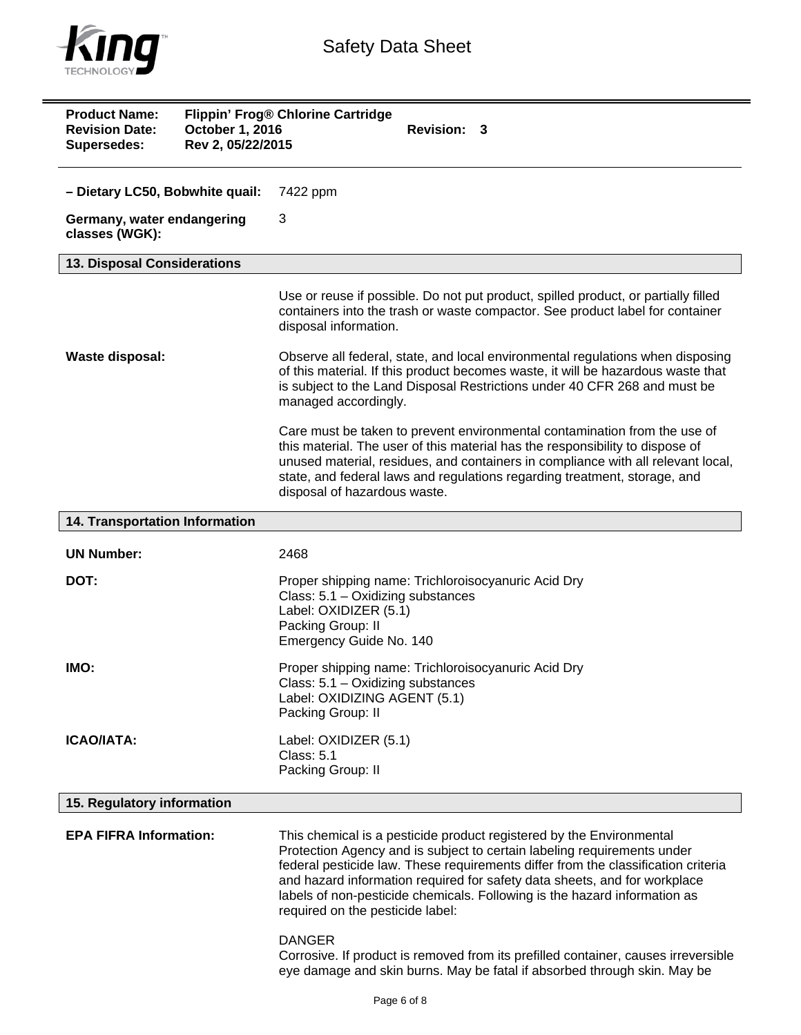

| <b>Product Name:</b><br><b>Revision Date:</b><br><b>Supersedes:</b> | October 1, 2016<br>Rev 2, 05/22/2015 | Flippin' Frog® Chlorine Cartridge<br><b>Revision: 3</b>                                                                                                                                                                                                                                                                                                                                                                            |
|---------------------------------------------------------------------|--------------------------------------|------------------------------------------------------------------------------------------------------------------------------------------------------------------------------------------------------------------------------------------------------------------------------------------------------------------------------------------------------------------------------------------------------------------------------------|
| - Dietary LC50, Bobwhite quail:                                     |                                      | 7422 ppm                                                                                                                                                                                                                                                                                                                                                                                                                           |
| Germany, water endangering<br>classes (WGK):                        |                                      | 3                                                                                                                                                                                                                                                                                                                                                                                                                                  |
| 13. Disposal Considerations                                         |                                      |                                                                                                                                                                                                                                                                                                                                                                                                                                    |
|                                                                     |                                      | Use or reuse if possible. Do not put product, spilled product, or partially filled<br>containers into the trash or waste compactor. See product label for container<br>disposal information.                                                                                                                                                                                                                                       |
| Waste disposal:                                                     |                                      | Observe all federal, state, and local environmental regulations when disposing<br>of this material. If this product becomes waste, it will be hazardous waste that<br>is subject to the Land Disposal Restrictions under 40 CFR 268 and must be<br>managed accordingly.                                                                                                                                                            |
|                                                                     |                                      | Care must be taken to prevent environmental contamination from the use of<br>this material. The user of this material has the responsibility to dispose of<br>unused material, residues, and containers in compliance with all relevant local,<br>state, and federal laws and regulations regarding treatment, storage, and<br>disposal of hazardous waste.                                                                        |
| 14. Transportation Information                                      |                                      |                                                                                                                                                                                                                                                                                                                                                                                                                                    |
|                                                                     |                                      |                                                                                                                                                                                                                                                                                                                                                                                                                                    |
| <b>UN Number:</b>                                                   |                                      | 2468                                                                                                                                                                                                                                                                                                                                                                                                                               |
| DOT:                                                                |                                      | Proper shipping name: Trichloroisocyanuric Acid Dry<br>Class: 5.1 - Oxidizing substances<br>Label: OXIDIZER (5.1)<br>Packing Group: II<br>Emergency Guide No. 140                                                                                                                                                                                                                                                                  |
| IMO:                                                                |                                      | Proper shipping name: Trichloroisocyanuric Acid Dry<br>Class: 5.1 - Oxidizing substances<br>Label: OXIDIZING AGENT (5.1)<br>Packing Group: II                                                                                                                                                                                                                                                                                      |
| <b>ICAO/IATA:</b>                                                   |                                      | Label: OXIDIZER (5.1)<br>Class: 5.1<br>Packing Group: II                                                                                                                                                                                                                                                                                                                                                                           |
| 15. Regulatory information                                          |                                      |                                                                                                                                                                                                                                                                                                                                                                                                                                    |
| <b>EPA FIFRA Information:</b>                                       |                                      | This chemical is a pesticide product registered by the Environmental<br>Protection Agency and is subject to certain labeling requirements under<br>federal pesticide law. These requirements differ from the classification criteria<br>and hazard information required for safety data sheets, and for workplace<br>labels of non-pesticide chemicals. Following is the hazard information as<br>required on the pesticide label: |
|                                                                     |                                      | <b>DANGER</b><br>Corrosive. If product is removed from its prefilled container, causes irreversible<br>eye damage and skin burns. May be fatal if absorbed through skin. May be                                                                                                                                                                                                                                                    |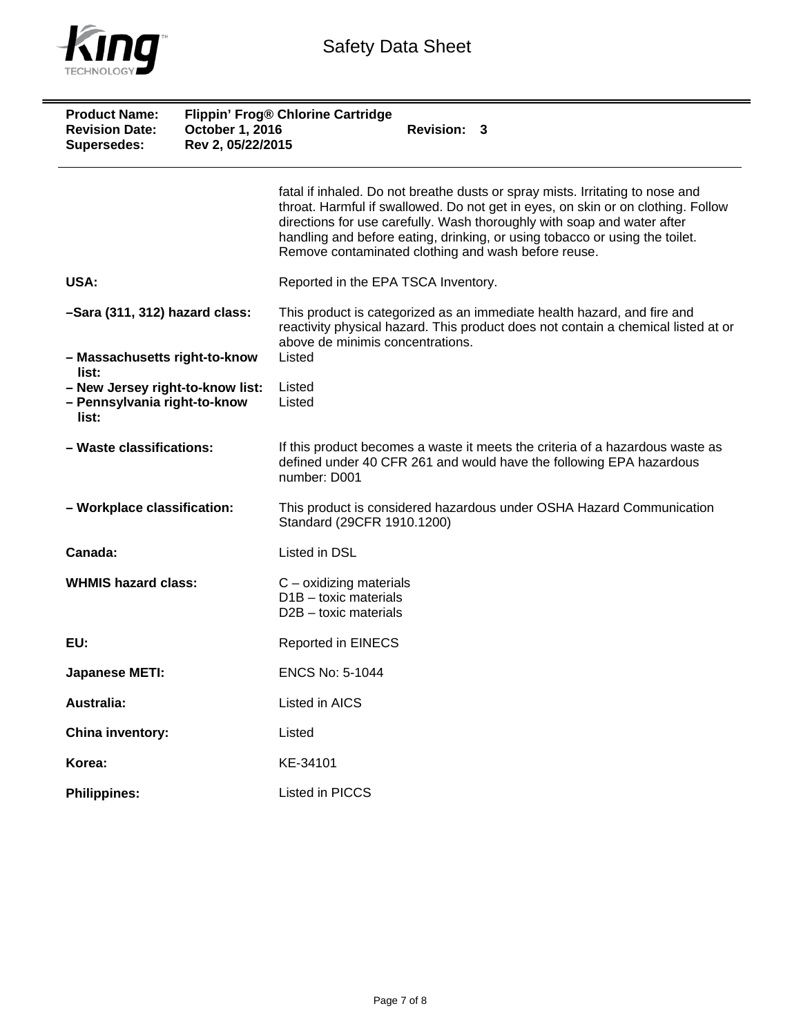

| <b>Product Name:</b><br><b>Revision Date:</b><br>Supersedes:              | October 1, 2016<br>Rev 2, 05/22/2015 | Flippin' Frog® Chlorine Cartridge<br>Revision: 3                                                                                                                                                                                                                                                                                                                                   |
|---------------------------------------------------------------------------|--------------------------------------|------------------------------------------------------------------------------------------------------------------------------------------------------------------------------------------------------------------------------------------------------------------------------------------------------------------------------------------------------------------------------------|
|                                                                           |                                      | fatal if inhaled. Do not breathe dusts or spray mists. Irritating to nose and<br>throat. Harmful if swallowed. Do not get in eyes, on skin or on clothing. Follow<br>directions for use carefully. Wash thoroughly with soap and water after<br>handling and before eating, drinking, or using tobacco or using the toilet.<br>Remove contaminated clothing and wash before reuse. |
| USA:                                                                      |                                      | Reported in the EPA TSCA Inventory.                                                                                                                                                                                                                                                                                                                                                |
| -Sara (311, 312) hazard class:                                            |                                      | This product is categorized as an immediate health hazard, and fire and<br>reactivity physical hazard. This product does not contain a chemical listed at or<br>above de minimis concentrations.                                                                                                                                                                                   |
| - Massachusetts right-to-know<br>list:                                    |                                      | Listed                                                                                                                                                                                                                                                                                                                                                                             |
| - New Jersey right-to-know list:<br>- Pennsylvania right-to-know<br>list: |                                      | Listed<br>Listed                                                                                                                                                                                                                                                                                                                                                                   |
| - Waste classifications:                                                  |                                      | If this product becomes a waste it meets the criteria of a hazardous waste as<br>defined under 40 CFR 261 and would have the following EPA hazardous<br>number: D001                                                                                                                                                                                                               |
| - Workplace classification:                                               |                                      | This product is considered hazardous under OSHA Hazard Communication<br>Standard (29CFR 1910.1200)                                                                                                                                                                                                                                                                                 |
| Canada:                                                                   |                                      | Listed in DSL                                                                                                                                                                                                                                                                                                                                                                      |
| <b>WHMIS hazard class:</b>                                                |                                      | $C$ – oxidizing materials<br>$D1B -$ toxic materials<br>$D2B -$ toxic materials                                                                                                                                                                                                                                                                                                    |
| EU:                                                                       |                                      | <b>Reported in EINECS</b>                                                                                                                                                                                                                                                                                                                                                          |
| <b>Japanese METI:</b>                                                     |                                      | <b>ENCS No: 5-1044</b>                                                                                                                                                                                                                                                                                                                                                             |
| <b>Australia:</b>                                                         |                                      | Listed in AICS                                                                                                                                                                                                                                                                                                                                                                     |
| China inventory:                                                          |                                      | Listed                                                                                                                                                                                                                                                                                                                                                                             |
| Korea:                                                                    |                                      | KE-34101                                                                                                                                                                                                                                                                                                                                                                           |
| <b>Philippines:</b>                                                       |                                      | Listed in PICCS                                                                                                                                                                                                                                                                                                                                                                    |